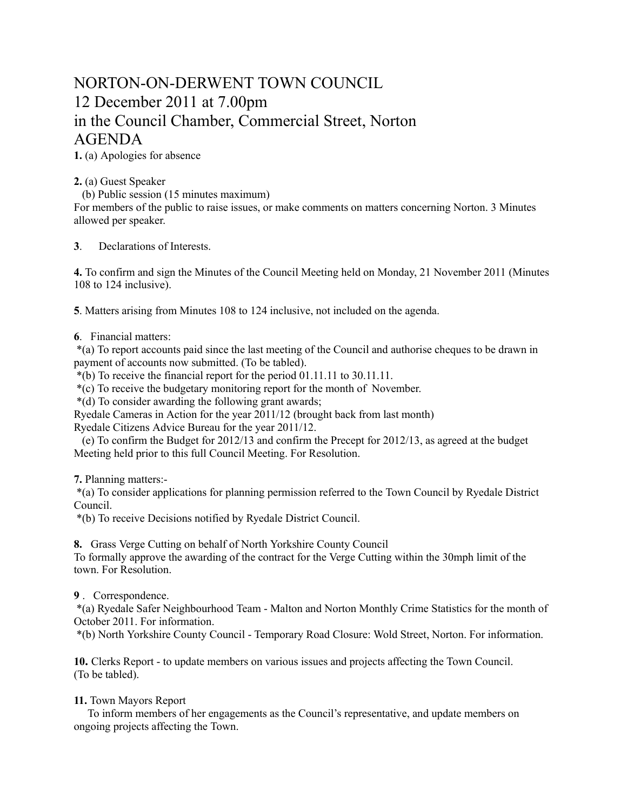## NORTON-ON-DERWENT TOWN COUNCIL 12 December 2011 at 7.00pm in the Council Chamber, Commercial Street, Norton AGENDA

**1.** (a) Apologies for absence

**2.** (a) Guest Speaker

(b) Public session (15 minutes maximum)

For members of the public to raise issues, or make comments on matters concerning Norton. 3 Minutes allowed per speaker.

**3**. Declarations of Interests.

**4.** To confirm and sign the Minutes of the Council Meeting held on Monday, 21 November 2011 (Minutes 108 to 124 inclusive).

**5**. Matters arising from Minutes 108 to 124 inclusive, not included on the agenda.

## **6**. Financial matters:

 \*(a) To report accounts paid since the last meeting of the Council and authorise cheques to be drawn in payment of accounts now submitted. (To be tabled).

\*(b) To receive the financial report for the period 01.11.11 to 30.11.11.

\*(c) To receive the budgetary monitoring report for the month of November.

\*(d) To consider awarding the following grant awards;

Ryedale Cameras in Action for the year 2011/12 (brought back from last month) Ryedale Citizens Advice Bureau for the year 2011/12.

 (e) To confirm the Budget for 2012/13 and confirm the Precept for 2012/13, as agreed at the budget Meeting held prior to this full Council Meeting. For Resolution.

**7.** Planning matters:-

 \*(a) To consider applications for planning permission referred to the Town Council by Ryedale District Council.

\*(b) To receive Decisions notified by Ryedale District Council.

**8.** Grass Verge Cutting on behalf of North Yorkshire County Council

To formally approve the awarding of the contract for the Verge Cutting within the 30mph limit of the town. For Resolution.

## **9** . Correspondence.

 \*(a) Ryedale Safer Neighbourhood Team - Malton and Norton Monthly Crime Statistics for the month of October 2011. For information.

\*(b) North Yorkshire County Council - Temporary Road Closure: Wold Street, Norton. For information.

**10.** Clerks Report - to update members on various issues and projects affecting the Town Council. (To be tabled).

## **11.** Town Mayors Report

 To inform members of her engagements as the Council's representative, and update members on ongoing projects affecting the Town.